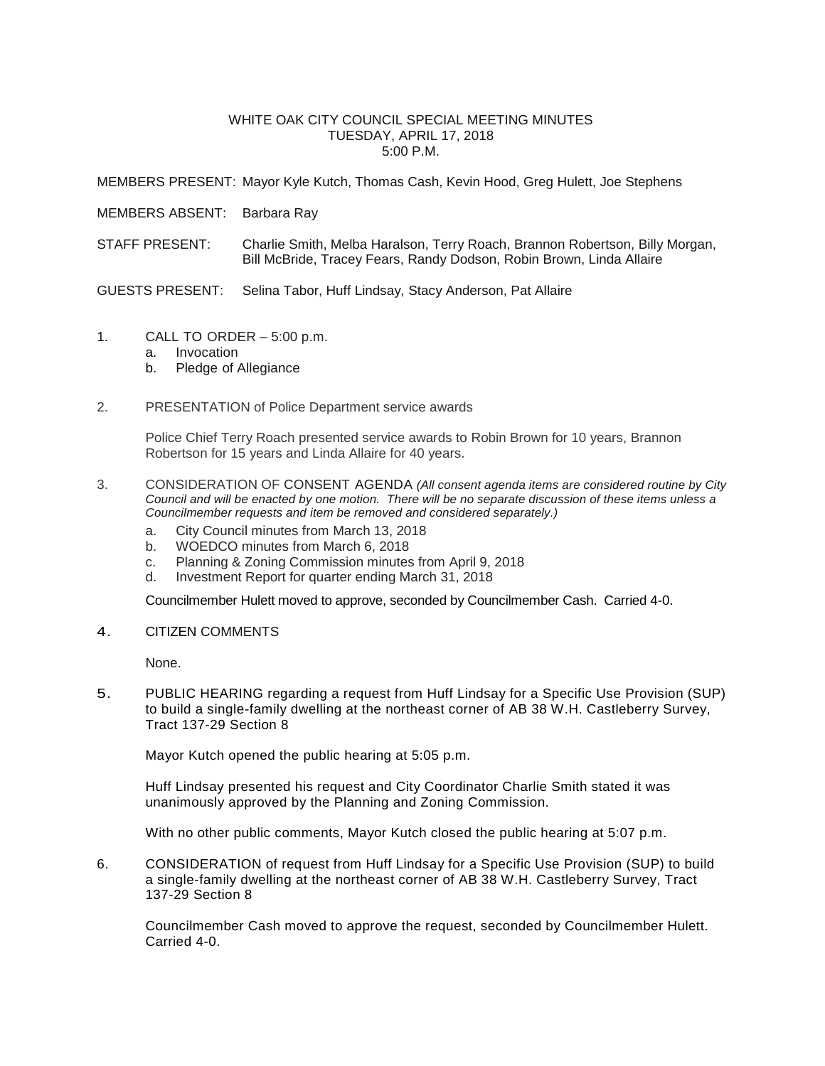#### WHITE OAK CITY COUNCIL SPECIAL MEETING MINUTES TUESDAY, APRIL 17, 2018 5:00 P.M.

MEMBERS PRESENT: Mayor Kyle Kutch, Thomas Cash, Kevin Hood, Greg Hulett, Joe Stephens

MEMBERS ABSENT: Barbara Ray

STAFF PRESENT: Charlie Smith, Melba Haralson, Terry Roach, Brannon Robertson, Billy Morgan, Bill McBride, Tracey Fears, Randy Dodson, Robin Brown, Linda Allaire

GUESTS PRESENT: Selina Tabor, Huff Lindsay, Stacy Anderson, Pat Allaire

- 1. CALL TO ORDER 5:00 p.m.
	- a. Invocation
	- b. Pledge of Allegiance
- 2. PRESENTATION of Police Department service awards

Police Chief Terry Roach presented service awards to Robin Brown for 10 years, Brannon Robertson for 15 years and Linda Allaire for 40 years.

- 3. CONSIDERATION OF CONSENT AGENDA *(All consent agenda items are considered routine by City Council and will be enacted by one motion. There will be no separate discussion of these items unless a Councilmember requests and item be removed and considered separately.)*
	- a. City Council minutes from March 13, 2018
	- b. WOEDCO minutes from March 6, 2018
	- c. Planning & Zoning Commission minutes from April 9, 2018
	- d. Investment Report for quarter ending March 31, 2018

Councilmember Hulett moved to approve, seconded by Councilmember Cash. Carried 4-0.

4. CITIZEN COMMENTS

None.

5. PUBLIC HEARING regarding a request from Huff Lindsay for a Specific Use Provision (SUP) to build a single-family dwelling at the northeast corner of AB 38 W.H. Castleberry Survey, Tract 137-29 Section 8

Mayor Kutch opened the public hearing at 5:05 p.m.

Huff Lindsay presented his request and City Coordinator Charlie Smith stated it was unanimously approved by the Planning and Zoning Commission.

With no other public comments, Mayor Kutch closed the public hearing at 5:07 p.m.

6. CONSIDERATION of request from Huff Lindsay for a Specific Use Provision (SUP) to build a single-family dwelling at the northeast corner of AB 38 W.H. Castleberry Survey, Tract 137-29 Section 8

Councilmember Cash moved to approve the request, seconded by Councilmember Hulett. Carried 4-0.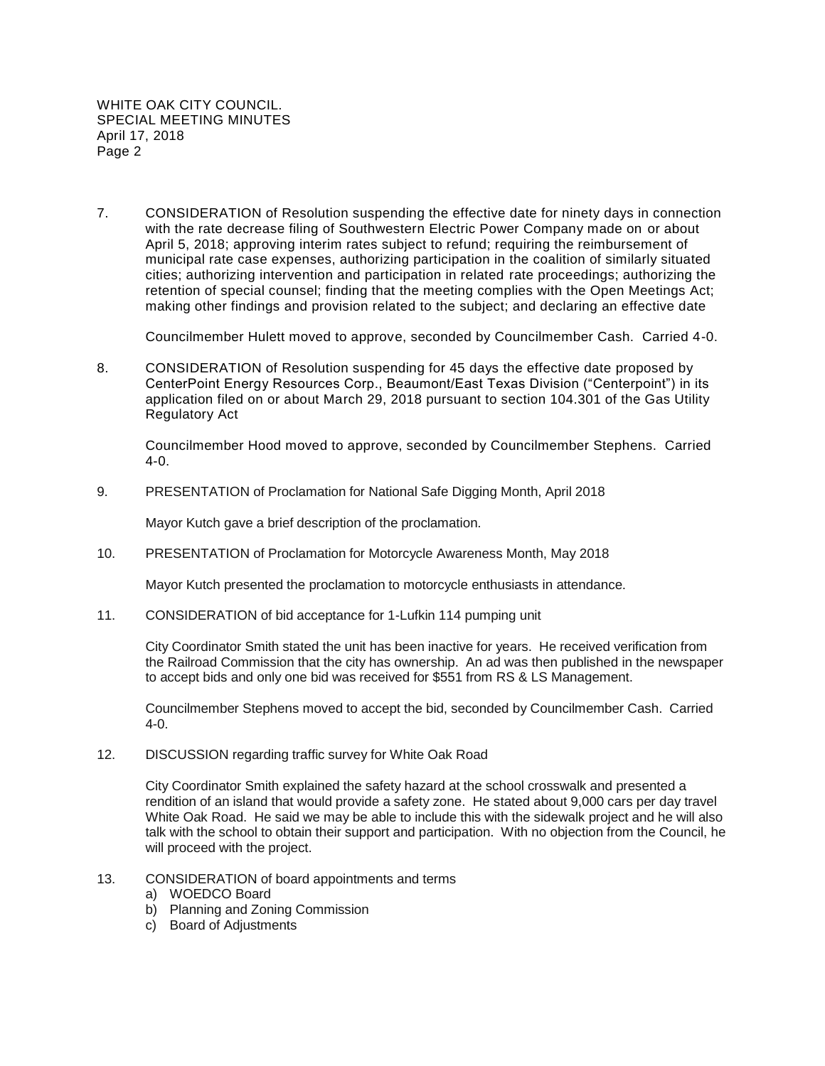7. CONSIDERATION of Resolution suspending the effective date for ninety days in connection with the rate decrease filing of Southwestern Electric Power Company made on or about April 5, 2018; approving interim rates subject to refund; requiring the reimbursement of municipal rate case expenses, authorizing participation in the coalition of similarly situated cities; authorizing intervention and participation in related rate proceedings; authorizing the retention of special counsel; finding that the meeting complies with the Open Meetings Act; making other findings and provision related to the subject; and declaring an effective date

Councilmember Hulett moved to approve, seconded by Councilmember Cash. Carried 4-0.

8. CONSIDERATION of Resolution suspending for 45 days the effective date proposed by CenterPoint Energy Resources Corp., Beaumont/East Texas Division ("Centerpoint") in its application filed on or about March 29, 2018 pursuant to section 104.301 of the Gas Utility Regulatory Act

Councilmember Hood moved to approve, seconded by Councilmember Stephens. Carried 4-0.

9. PRESENTATION of Proclamation for National Safe Digging Month, April 2018

Mayor Kutch gave a brief description of the proclamation.

10. PRESENTATION of Proclamation for Motorcycle Awareness Month, May 2018

Mayor Kutch presented the proclamation to motorcycle enthusiasts in attendance.

11. CONSIDERATION of bid acceptance for 1-Lufkin 114 pumping unit

City Coordinator Smith stated the unit has been inactive for years. He received verification from the Railroad Commission that the city has ownership. An ad was then published in the newspaper to accept bids and only one bid was received for \$551 from RS & LS Management.

Councilmember Stephens moved to accept the bid, seconded by Councilmember Cash. Carried 4-0.

12. DISCUSSION regarding traffic survey for White Oak Road

City Coordinator Smith explained the safety hazard at the school crosswalk and presented a rendition of an island that would provide a safety zone. He stated about 9,000 cars per day travel White Oak Road. He said we may be able to include this with the sidewalk project and he will also talk with the school to obtain their support and participation. With no objection from the Council, he will proceed with the project.

- 13. CONSIDERATION of board appointments and terms
	- a) WOEDCO Board
	- b) Planning and Zoning Commission
	- c) Board of Adjustments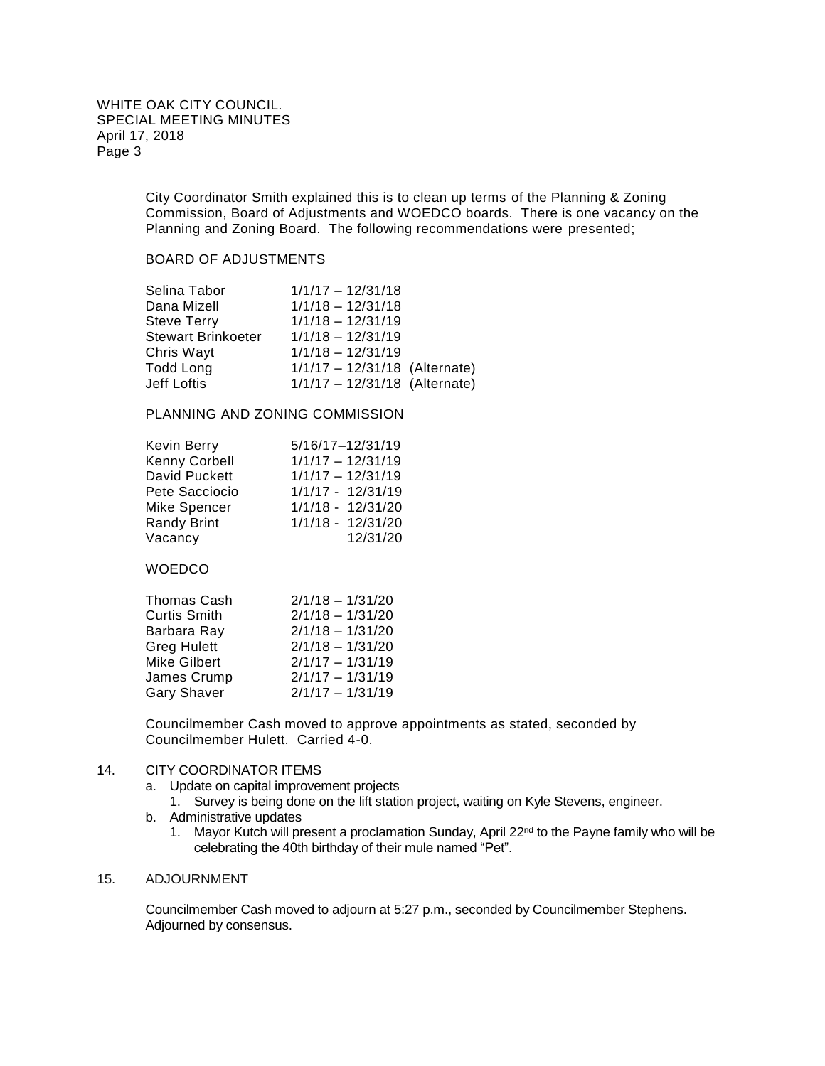City Coordinator Smith explained this is to clean up terms of the Planning & Zoning Commission, Board of Adjustments and WOEDCO boards. There is one vacancy on the Planning and Zoning Board. The following recommendations were presented;

### BOARD OF ADJUSTMENTS

| Selina Tabor              | $1/1/17 - 12/31/18$           |  |
|---------------------------|-------------------------------|--|
| Dana Mizell               | $1/1/18 - 12/31/18$           |  |
| <b>Steve Terry</b>        | $1/1/18 - 12/31/19$           |  |
| <b>Stewart Brinkoeter</b> | $1/1/18 - 12/31/19$           |  |
| Chris Wayt                | $1/1/18 - 12/31/19$           |  |
| <b>Todd Long</b>          | 1/1/17 - 12/31/18 (Alternate) |  |
| Jeff Loftis               | 1/1/17 - 12/31/18 (Alternate) |  |
|                           |                               |  |

### PLANNING AND ZONING COMMISSION

|                    | 5/16/17-12/31/19    |
|--------------------|---------------------|
| Kevin Berry        |                     |
| Kenny Corbell      | $1/1/17 - 12/31/19$ |
| David Puckett      | $1/1/17 - 12/31/19$ |
| Pete Sacciocio     | 1/1/17 - 12/31/19   |
| Mike Spencer       | 1/1/18 - 12/31/20   |
| <b>Randy Brint</b> | 1/1/18 - 12/31/20   |
| Vacancy            | 12/31/20            |
|                    |                     |

# **WOEDCO**

| Thomas Cash  | $2/1/18 - 1/31/20$ |
|--------------|--------------------|
| Curtis Smith | $2/1/18 - 1/31/20$ |
| Barbara Ray  | $2/1/18 - 1/31/20$ |
| Greg Hulett  | $2/1/18 - 1/31/20$ |
| Mike Gilbert | $2/1/17 - 1/31/19$ |
| James Crump  | $2/1/17 - 1/31/19$ |
| Gary Shaver  | $2/1/17 - 1/31/19$ |

Councilmember Cash moved to approve appointments as stated, seconded by Councilmember Hulett. Carried 4-0.

## 14. CITY COORDINATOR ITEMS

- a. Update on capital improvement projects
	- 1. Survey is being done on the lift station project, waiting on Kyle Stevens, engineer.
- b. Administrative updates
	- 1. Mayor Kutch will present a proclamation Sunday, April  $22<sup>nd</sup>$  to the Payne family who will be celebrating the 40th birthday of their mule named "Pet".

### 15. ADJOURNMENT

Councilmember Cash moved to adjourn at 5:27 p.m., seconded by Councilmember Stephens. Adjourned by consensus.